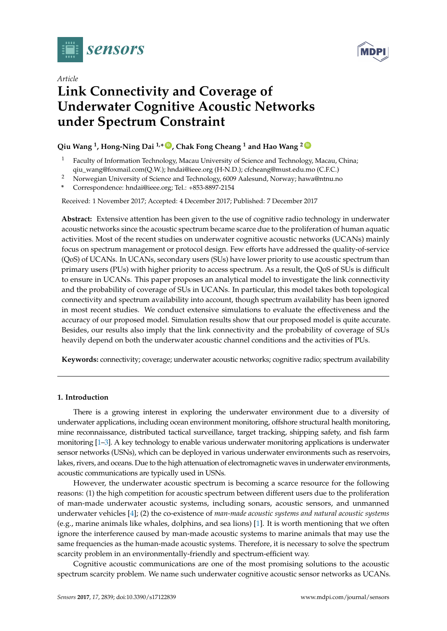



# *Article* **Link Connectivity and Coverage of Underwater Cognitive Acoustic Networks under Spectrum Constraint**

# **Qiu Wang <sup>1</sup> , Hong-Ning Dai 1,\* [ID](https://orcid.org/0000-0001-6165-4196) , Chak Fong Cheang <sup>1</sup> and Hao Wang <sup>2</sup> [ID](https://orcid.org/0000-0001-9301-5989)**

- <sup>1</sup> Faculty of Information Technology, Macau University of Science and Technology, Macau, China; qiu\_wang@foxmail.com(Q.W.); hndai@ieee.org (H-N.D.); cfcheang@must.edu.mo (C.F.C.)
- <sup>2</sup> Norwegian University of Science and Technology, 6009 Aalesund, Norway; hawa@ntnu.no
- **\*** Correspondence: hndai@ieee.org; Tel.: +853-8897-2154

Received: 1 November 2017; Accepted: 4 December 2017; Published: 7 December 2017

**Abstract:** Extensive attention has been given to the use of cognitive radio technology in underwater acoustic networks since the acoustic spectrum became scarce due to the proliferation of human aquatic activities. Most of the recent studies on underwater cognitive acoustic networks (UCANs) mainly focus on spectrum management or protocol design. Few efforts have addressed the quality-of-service (QoS) of UCANs. In UCANs, secondary users (SUs) have lower priority to use acoustic spectrum than primary users (PUs) with higher priority to access spectrum. As a result, the QoS of SUs is difficult to ensure in UCANs. This paper proposes an analytical model to investigate the link connectivity and the probability of coverage of SUs in UCANs. In particular, this model takes both topological connectivity and spectrum availability into account, though spectrum availability has been ignored in most recent studies. We conduct extensive simulations to evaluate the effectiveness and the accuracy of our proposed model. Simulation results show that our proposed model is quite accurate. Besides, our results also imply that the link connectivity and the probability of coverage of SUs heavily depend on both the underwater acoustic channel conditions and the activities of PUs.

**Keywords:** connectivity; coverage; underwater acoustic networks; cognitive radio; spectrum availability

# **1. Introduction**

There is a growing interest in exploring the underwater environment due to a diversity of underwater applications, including ocean environment monitoring, offshore structural health monitoring, mine reconnaissance, distributed tactical surveillance, target tracking, shipping safety, and fish farm monitoring [\[1](#page-13-0)[–3\]](#page-13-1). A key technology to enable various underwater monitoring applications is underwater sensor networks (USNs), which can be deployed in various underwater environments such as reservoirs, lakes, rivers, and oceans. Due to the high attenuation of electromagnetic waves in underwater environments, acoustic communications are typically used in USNs.

However, the underwater acoustic spectrum is becoming a scarce resource for the following reasons: (1) the high competition for acoustic spectrum between different users due to the proliferation of man-made underwater acoustic systems, including sonars, acoustic sensors, and unmanned underwater vehicles [\[4\]](#page-13-2); (2) the co-existence of *man-made acoustic systems and natural acoustic systems* (e.g., marine animals like whales, dolphins, and sea lions) [\[1\]](#page-13-0). It is worth mentioning that we often ignore the interference caused by man-made acoustic systems to marine animals that may use the same frequencies as the human-made acoustic systems. Therefore, it is necessary to solve the spectrum scarcity problem in an environmentally-friendly and spectrum-efficient way.

Cognitive acoustic communications are one of the most promising solutions to the acoustic spectrum scarcity problem. We name such underwater cognitive acoustic sensor networks as UCANs.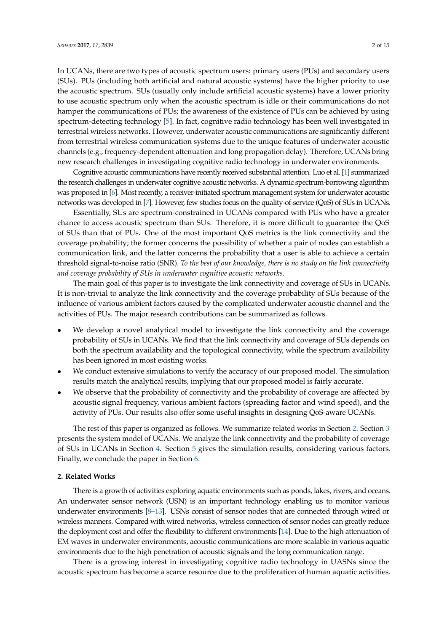In UCANs, there are two types of acoustic spectrum users: primary users (PUs) and secondary users (SUs). PUs (including both artificial and natural acoustic systems) have the higher priority to use the acoustic spectrum. SUs (usually only include artificial acoustic systems) have a lower priority to use acoustic spectrum only when the acoustic spectrum is idle or their communications do not hamper the communications of PUs; the awareness of the existence of PUs can be achieved by using spectrum-detecting technology [\[5\]](#page-13-3). In fact, cognitive radio technology has been well investigated in terrestrial wireless networks. However, underwater acoustic communications are significantly different from terrestrial wireless communication systems due to the unique features of underwater acoustic channels (e.g., frequency-dependent attenuation and long propagation delay). Therefore, UCANs bring new research challenges in investigating cognitive radio technology in underwater environments.

Cognitive acoustic communications have recently received substantial attention. Luo et al. [\[1\]](#page-13-0) summarized the research challenges in underwater cognitive acoustic networks. A dynamic spectrum-borrowing algorithm was proposed in [\[6\]](#page-13-4). Most recently, a receiver-initiated spectrum management system for underwater acoustic networks was developed in [\[7\]](#page-13-5). However, few studies focus on the quality-of-service (QoS) of SUs in UCANs.

Essentially, SUs are spectrum-constrained in UCANs compared with PUs who have a greater chance to access acoustic spectrum than SUs. Therefore, it is more difficult to guarantee the QoS of SUs than that of PUs. One of the most important QoS metrics is the link connectivity and the coverage probability; the former concerns the possibility of whether a pair of nodes can establish a communication link, and the latter concerns the probability that a user is able to achieve a certain threshold signal-to-noise ratio (SNR). *To the best of our knowledge, there is no study on the link connectivity and coverage probability of SUs in underwater cognitive acoustic networks.*

The main goal of this paper is to investigate the link connectivity and coverage of SUs in UCANs. It is non-trivial to analyze the link connectivity and the coverage probability of SUs because of the influence of various ambient factors caused by the complicated underwater acoustic channel and the activities of PUs. The major research contributions can be summarized as follows.

- We develop a novel analytical model to investigate the link connectivity and the coverage probability of SUs in UCANs. We find that the link connectivity and coverage of SUs depends on both the spectrum availability and the topological connectivity, while the spectrum availability has been ignored in most existing works.
- We conduct extensive simulations to verify the accuracy of our proposed model. The simulation results match the analytical results, implying that our proposed model is fairly accurate.
- We observe that the probability of connectivity and the probability of coverage are affected by acoustic signal frequency, various ambient factors (spreading factor and wind speed), and the activity of PUs. Our results also offer some useful insights in designing QoS-aware UCANs.

The rest of this paper is organized as follows. We summarize related works in Section [2.](#page-1-0) Section [3](#page-2-0) presents the system model of UCANs. We analyze the link connectivity and the probability of coverage of SUs in UCANs in Section [4.](#page-3-0) Section [5](#page-6-0) gives the simulation results, considering various factors. Finally, we conclude the paper in Section [6.](#page-12-0)

# <span id="page-1-0"></span>**2. Related Works**

There is a growth of activities exploring aquatic environments such as ponds, lakes, rivers, and oceans. An underwater sensor network (USN) is an important technology enabling us to monitor various underwater environments [\[8](#page-13-6)[–13\]](#page-13-7). USNs consist of sensor nodes that are connected through wired or wireless manners. Compared with wired networks, wireless connection of sensor nodes can greatly reduce the deployment cost and offer the flexibility to different environments [\[14\]](#page-13-8). Due to the high attenuation of EM waves in underwater environments, acoustic communications are more scalable in various aquatic environments due to the high penetration of acoustic signals and the long communication range.

There is a growing interest in investigating cognitive radio technology in UASNs since the acoustic spectrum has become a scarce resource due to the proliferation of human aquatic activities.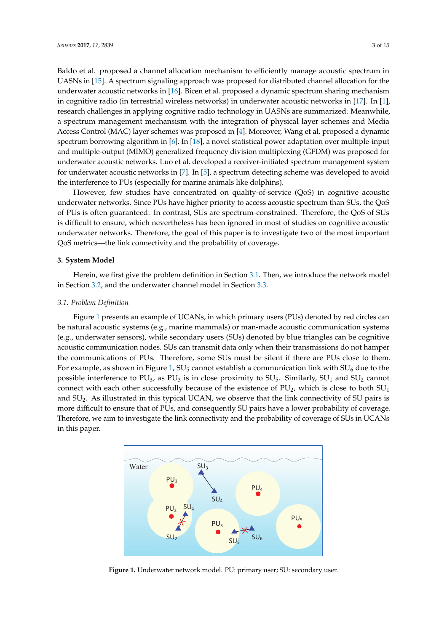Baldo et al. proposed a channel allocation mechanism to efficiently manage acoustic spectrum in UASNs in [\[15\]](#page-13-9). A spectrum signaling approach was proposed for distributed channel allocation for the underwater acoustic networks in [\[16\]](#page-14-0). Bicen et al. proposed a dynamic spectrum sharing mechanism in cognitive radio (in terrestrial wireless networks) in underwater acoustic networks in [\[17\]](#page-14-1). In [\[1\]](#page-13-0), research challenges in applying cognitive radio technology in UASNs are summarized. Meanwhile, a spectrum management mechansism with the integration of physical layer schemes and Media Access Control (MAC) layer schemes was proposed in [\[4\]](#page-13-2). Moreover, Wang et al. proposed a dynamic spectrum borrowing algorithm in [\[6\]](#page-13-4). In [\[18\]](#page-14-2), a novel statistical power adaptation over multiple-input and multiple-output (MIMO) generalized frequency division multiplexing (GFDM) was proposed for underwater acoustic networks. Luo et al. developed a receiver-initiated spectrum management system for underwater acoustic networks in [\[7\]](#page-13-5). In [\[5\]](#page-13-3), a spectrum detecting scheme was developed to avoid the interference to PUs (especially for marine animals like dolphins).

However, few studies have concentrated on quality-of-service (QoS) in cognitive acoustic underwater networks. Since PUs have higher priority to access acoustic spectrum than SUs, the QoS of PUs is often guaranteed. In contrast, SUs are spectrum-constrained. Therefore, the QoS of SUs is difficult to ensure, which nevertheless has been ignored in most of studies on cognitive acoustic underwater networks. Therefore, the goal of this paper is to investigate two of the most important QoS metrics—the link connectivity and the probability of coverage.

# <span id="page-2-0"></span>**3. System Model**

Herein, we first give the problem definition in Section [3.1.](#page-2-1) Then, we introduce the network model in Section [3.2,](#page-3-1) and the underwater channel model in Section [3.3.](#page-3-2)

#### <span id="page-2-1"></span>*3.1. Problem Definition*

Figure [1](#page-2-2) presents an example of UCANs, in which primary users (PUs) denoted by red circles can be natural acoustic systems (e.g., marine mammals) or man-made acoustic communication systems (e.g., underwater sensors), while secondary users (SUs) denoted by blue triangles can be cognitive acoustic communication nodes. SUs can transmit data only when their transmissions do not hamper the communications of PUs. Therefore, some SUs must be silent if there are PUs close to them. For example, as shown in Figure [1,](#page-2-2)  $SU_5$  cannot establish a communication link with  $SU_6$  due to the possible interference to  $PU_3$ , as  $PU_3$  is in close proximity to  $SU_5$ . Similarly,  $SU_1$  and  $SU_2$  cannot connect with each other successfully because of the existence of  $PU_2$ , which is close to both  $SU_1$ and  $SU<sub>2</sub>$ . As illustrated in this typical UCAN, we observe that the link connectivity of SU pairs is more difficult to ensure that of PUs, and consequently SU pairs have a lower probability of coverage. Therefore, we aim to investigate the link connectivity and the probability of coverage of SUs in UCANs in this paper.

<span id="page-2-2"></span>

**Figure 1.** Underwater network model. PU: primary user; SU: secondary user.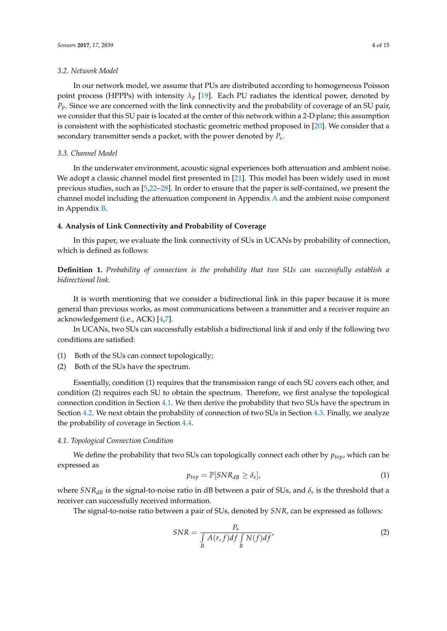#### <span id="page-3-1"></span>*3.2. Network Model*

In our network model, we assume that PUs are distributed according to homogeneous Poisson point process (HPPPs) with intensity  $\lambda_p$  [\[19\]](#page-14-3). Each PU radiates the identical power, denoted by *Pp*. Since we are concerned with the link connectivity and the probability of coverage of an SU pair, we consider that this SU pair is located at the center of this network within a 2-D plane; this assumption is consistent with the sophisticated stochastic geometric method proposed in [\[20\]](#page-14-4). We consider that a secondary transmitter sends a packet, with the power denoted by *P<sup>s</sup>* .

#### <span id="page-3-2"></span>*3.3. Channel Model*

In the underwater environment, acoustic signal experiences both attenuation and ambient noise. We adopt a classic channel model first presented in [\[21\]](#page-14-5). This model has been widely used in most previous studies, such as [\[5,](#page-13-3)[22](#page-14-6)[–28\]](#page-14-7). In order to ensure that the paper is self-contained, we present the channel model including the attenuation component in Appendix [A](#page-12-1) and the ambient noise component in Appendix [B.](#page-12-2)

# <span id="page-3-0"></span>**4. Analysis of Link Connectivity and Probability of Coverage**

In this paper, we evaluate the link connectivity of SUs in UCANs by probability of connection, which is defined as follows:

**Definition 1.** *Probability of connection is the probability that two SUs can successfully establish a bidirectional link.*

It is worth mentioning that we consider a bidirectional link in this paper because it is more general than previous works, as most communications between a transmitter and a receiver require an acknowledgement (i.e., ACK) [\[4](#page-13-2)[,7\]](#page-13-5).

In UCANs, two SUs can successfully establish a bidirectional link if and only if the following two conditions are satisfied:

- (1) Both of the SUs can connect topologically;
- (2) Both of the SUs have the spectrum.

Essentially, condition (1) requires that the transmission range of each SU covers each other, and condition (2) requires each SU to obtain the spectrum. Therefore, we first analyse the topological connection condition in Section [4.1.](#page-3-3) We then derive the probability that two SUs have the spectrum in Section [4.2.](#page-4-0) We next obtain the probability of connection of two SUs in Section [4.3.](#page-6-1) Finally, we analyze the probability of coverage in Section [4.4.](#page-6-2)

#### <span id="page-3-3"></span>*4.1. Topological Connection Condition*

We define the probability that two SUs can topologically connect each other by  $p_{ton}$ , which can be expressed as

$$
p_{top} = \mathbb{P}[SNR_{dB} \ge \delta_s], \tag{1}
$$

where *SNRdB* is the signal-to-noise ratio in dB between a pair of SUs, and *δ<sup>s</sup>* is the threshold that a receiver can successfully received information.

The signal-to-noise ratio between a pair of SUs, denoted by *SNR*, can be expressed as follows:

<span id="page-3-4"></span>
$$
SNR = \frac{P_s}{\int\limits_B A(r, f) df \int\limits_B N(f) df'}
$$
\n(2)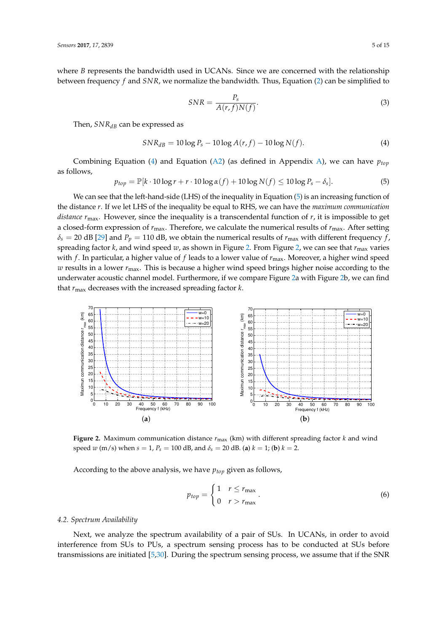where *B* represents the bandwidth used in UCANs. Since we are concerned with the relationship between frequency *f* and *SNR*, we normalize the bandwidth. Thus, Equation [\(2\)](#page-3-4) can be simplified to

$$
SNR = \frac{P_s}{A(r, f)N(f)}.\tag{3}
$$

Then,  $SNR_{dB}$  can be expressed as

<span id="page-4-1"></span>
$$
SNR_{dB} = 10 \log P_s - 10 \log A(r, f) - 10 \log N(f). \tag{4}
$$

Combining Equation [\(4\)](#page-4-1) and Equation [\(A2\)](#page-12-3) (as defined in Appendix [A\)](#page-12-1), we can have *ptop* as follows,

<span id="page-4-2"></span>
$$
p_{top} = \mathbb{P}[k \cdot 10\log r + r \cdot 10\log \alpha(f) + 10\log N(f) \le 10\log P_s - \delta_s].
$$
\n(5)

We can see that the left-hand-side (LHS) of the inequality in Equation [\(5\)](#page-4-2) is an increasing function of the distance *r*. If we let LHS of the inequality be equal to RHS, we can have the *maximum communication distance r*max. However, since the inequality is a transcendental function of *r*, it is impossible to get a closed-form expression of  $r_{\text{max}}$ . Therefore, we calculate the numerical results of  $r_{\text{max}}$ . After setting  $\delta$ <sup>*s*</sup> = 20 dB [\[29\]](#page-14-8) and *P*<sup>*p*</sup> = 110 dB, we obtain the numerical results of *r*<sub>max</sub> with different frequency *f*, spreading factor  $k$ , and wind speed  $w$ , as shown in Figure [2.](#page-4-3) From Figure [2,](#page-4-3) we can see that  $r_{\text{max}}$  varies with *f*. In particular, a higher value of *f* leads to a lower value of  $r_{\text{max}}$ . Moreover, a higher wind speed *w* results in a lower *r*max. This is because a higher wind speed brings higher noise according to the underwater acoustic channel model. Furthermore, if we compare Figure [2a](#page-4-3) with Figure [2b](#page-4-3), we can find that *r*max decreases with the increased spreading factor *k*.

<span id="page-4-3"></span>

Figure 2. Maximum communication distance  $r_{\text{max}}$  (km) with different spreading factor *k* and wind speed *w* (m/s) when  $s = 1$ ,  $P_s = 100$  dB, and  $\delta_s = 20$  dB. (a)  $k = 1$ ; (b)  $k = 2$ .

According to the above analysis, we have *ptop* given as follows,

$$
p_{top} = \begin{cases} 1 & r \le r_{\text{max}} \\ 0 & r > r_{\text{max}} \end{cases}.
$$
 (6)

#### <span id="page-4-0"></span>*4.2. Spectrum Availability*

Next, we analyze the spectrum availability of a pair of SUs. In UCANs, in order to avoid interference from SUs to PUs, a spectrum sensing process has to be conducted at SUs before transmissions are initiated [\[5,](#page-13-3)[30\]](#page-14-9). During the spectrum sensing process, we assume that if the SNR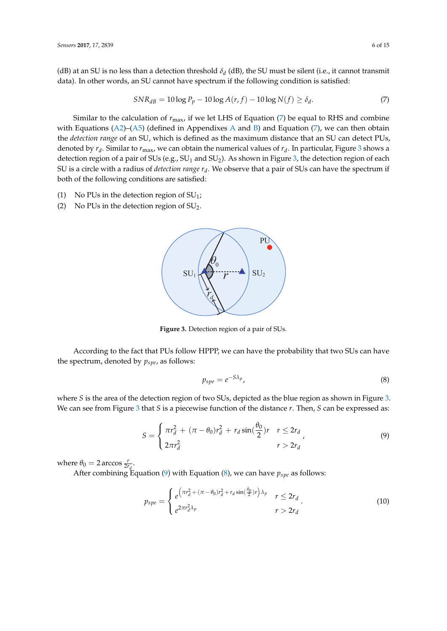(dB) at an SU is no less than a detection threshold  $\delta_d$  (dB), the SU must be silent (i.e., it cannot transmit data). In other words, an SU cannot have spectrum if the following condition is satisfied:

<span id="page-5-0"></span>
$$
SNR_{dB} = 10\log P_p - 10\log A(r, f) - 10\log N(f) \ge \delta_d. \tag{7}
$$

Similar to the calculation of  $r_{\text{max}}$ , if we let LHS of Equation [\(7\)](#page-5-0) be equal to RHS and combine with Equations [\(A2\)](#page-12-3)–[\(A5\)](#page-13-10) (defined in [A](#page-12-1)ppendixes A and [B\)](#page-12-2) and Equation [\(7\)](#page-5-0), we can then obtain the *detection range* of an SU, which is defined as the maximum distance that an SU can detect PUs, denoted by *r<sup>d</sup>* . Similar to *r*max, we can obtain the numerical values of *r<sup>d</sup>* . In particular, Figure [3](#page-5-1) shows a detection region of a pair of SUs (e.g.,  $SU_1$  and  $SU_2$ ). As shown in Figure [3,](#page-5-1) the detection region of each SU is a circle with a radius of *detection range r<sup>d</sup>* . We observe that a pair of SUs can have the spectrum if both of the following conditions are satisfied:

- (1) No PUs in the detection region of  $SU<sub>1</sub>$ ;
- <span id="page-5-1"></span>(2) No PUs in the detection region of  $SU<sub>2</sub>$ .



**Figure 3.** Detection region of a pair of SUs.

According to the fact that PUs follow HPPP, we can have the probability that two SUs can have the spectrum, denoted by *pspe*, as follows:

<span id="page-5-3"></span>
$$
p_{spe} = e^{-S\lambda_p},\tag{8}
$$

where *S* is the area of the detection region of two SUs, depicted as the blue region as shown in Figure [3.](#page-5-1) We can see from Figure [3](#page-5-1) that *S* is a piecewise function of the distance *r*. Then, *S* can be expressed as:

<span id="page-5-2"></span>
$$
S = \begin{cases} \pi r_d^2 + (\pi - \theta_0) r_d^2 + r_d \sin(\frac{\theta_0}{2}) r & r \le 2r_d \\ 2\pi r_d^2 & r > 2r_d \end{cases}
$$
(9)

where  $\theta_0 = 2 \arccos \frac{r}{2r_d}$ .

After combining Equation [\(9\)](#page-5-2) with Equation [\(8\)](#page-5-3), we can have *pspe* as follows:

<span id="page-5-4"></span>
$$
p_{spe} = \begin{cases} e^{\left(\pi r_d^2 + (\pi - \theta_0)r_d^2 + r_d \sin\left(\frac{\theta_0}{2}\right)r\right)\lambda_p} & r \le 2r_d \\ e^{2\pi r_d^2 \lambda_p} & r > 2r_d \end{cases}.
$$
 (10)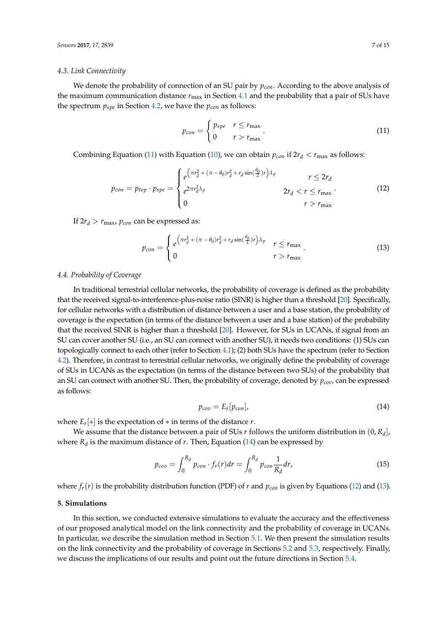#### <span id="page-6-1"></span>*4.3. Link Connectivity*

We denote the probability of connection of an SU pair by *pcon*. According to the above analysis of the maximum communication distance  $r_{\text{max}}$  in Section [4.1](#page-3-3) and the probability that a pair of SUs have the spectrum  $p_{spe}$  in Section [4.2,](#page-4-0) we have the  $p_{con}$  as follows:

<span id="page-6-3"></span>
$$
p_{con} = \begin{cases} p_{spe} & r \le r_{\text{max}} \\ 0 & r > r_{\text{max}} \end{cases}.
$$
 (11)

Combining Equation [\(11\)](#page-6-3) with Equation [\(10\)](#page-5-4), we can obtain  $p_{con}$  if  $2r_d < r_{max}$  as follows:

<span id="page-6-5"></span>
$$
p_{con} = p_{top} \cdot p_{spe} = \begin{cases} e^{\left(\pi r_d^2 + (\pi - \theta_0)r_d^2 + r_d \sin(\frac{\theta_0}{2})r\right)\lambda_p} & r \le 2r_d\\ e^{2\pi r_d^2 \lambda_p} & 2r_d < r \le r_{\text{max}}\\ 0 & r > r_{\text{max}} \end{cases}
$$
(12)

If  $2r_d > r_{\text{max}}$ ,  $p_{con}$  can be expressed as:

<span id="page-6-6"></span>
$$
p_{con} = \begin{cases} e^{(\pi r_d^2 + (\pi - \theta_0)r_d^2 + r_d \sin(\frac{\theta_0}{2})r)} \lambda_p & r \le r_{\text{max}} \\ 0 & r > r_{\text{max}} \end{cases}.
$$
 (13)

# <span id="page-6-2"></span>*4.4. Probability of Coverage*

In traditional terrestrial cellular networks, the probability of coverage is defined as the probability that the received signal-to-interference-plus-noise ratio (SINR) is higher than a threshold [\[20\]](#page-14-4). Specifically, for cellular networks with a distribution of distance between a user and a base station, the probability of coverage is the expectation (in terms of the distance between a user and a base station) of the probability that the received SINR is higher than a threshold [\[20\]](#page-14-4). However, for SUs in UCANs, if signal from an SU can cover another SU (i.e., an SU can connect with another SU), it needs two conditions: (1) SUs can topologically connect to each other (refer to Section [4.1\)](#page-3-3); (2) both SUs have the spectrum (refer to Section [4.2\)](#page-4-0). Therefore, in contrast to terrestrial cellular networks, we originally define the probability of coverage of SUs in UCANs as the expectation (in terms of the distance between two SUs) of the probability that an SU can connect with another SU. Then, the probability of coverage, denoted by *pcov*, can be expressed as follows:

<span id="page-6-4"></span>
$$
p_{cov} = E_r[p_{con}], \t\t(14)
$$

where  $E_r[*]$  is the expectation of  $*$  in terms of the distance  $r$ .

We assume that the distance between a pair of SUs *r* follows the uniform distribution in (0, *R<sup>d</sup>* ], where  $R_d$  is the maximum distance of  $r$ . Then, Equation [\(14\)](#page-6-4) can be expressed by

$$
p_{cov} = \int_0^{R_d} p_{con} \cdot f_r(r) dr = \int_0^{R_d} p_{con} \frac{1}{R_d} dr,
$$
 (15)

where  $f_r(r)$  is the probability distribution function (PDF) of *r* and  $p_{con}$  is given by Equations [\(12\)](#page-6-5) and [\(13\)](#page-6-6).

#### <span id="page-6-0"></span>**5. Simulations**

In this section, we conducted extensive simulations to evaluate the accuracy and the effectiveness of our proposed analytical model on the link connectivity and the probability of coverage in UCANs. In particular, we describe the simulation method in Section [5.1.](#page-7-0) We then present the simulation results on the link connectivity and the probability of coverage in Sections [5.2](#page-8-0) and [5.3,](#page-10-0) respectively. Finally, we discuss the implications of our results and point out the future directions in Section [5.4.](#page-11-0)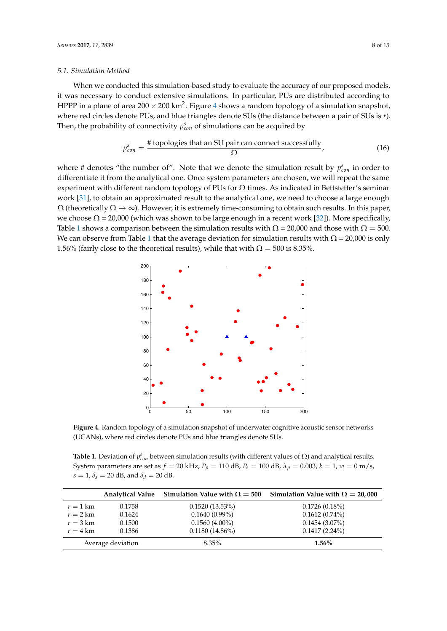#### <span id="page-7-0"></span>*5.1. Simulation Method*

When we conducted this simulation-based study to evaluate the accuracy of our proposed models, it was necessary to conduct extensive simulations. In particular, PUs are distributed according to HPPP in a plane of area 200  $\times$  200 km<sup>2</sup>. Figure [4](#page-7-1) shows a random topology of a simulation snapshot, where red circles denote PUs, and blue triangles denote SUs (the distance between a pair of SUs is *r*). Then, the probability of connectivity  $p_{con}^s$  of simulations can be acquired by

$$
p_{con}^s = \frac{\text{\# topologies that an SU pair can connect successfully}}{\Omega},\tag{16}
$$

where # denotes "the number of". Note that we denote the simulation result by  $p_{con}^s$  in order to differentiate it from the analytical one. Once system parameters are chosen, we will repeat the same experiment with different random topology of PUs for  $\Omega$  times. As indicated in Bettstetter's seminar work [\[31\]](#page-14-10), to obtain an approximated result to the analytical one, we need to choose a large enough  $\Omega$  (theoretically  $\Omega \to \infty$ ). However, it is extremely time-consuming to obtain such results. In this paper, we choose  $\Omega$  = 20,000 (which was shown to be large enough in a recent work [\[32\]](#page-14-11)). More specifically, Table [1](#page-7-2) shows a comparison between the simulation results with  $\Omega = 20,000$  and those with  $\Omega = 500$ . We can observe from Table [1](#page-7-2) that the average deviation for simulation results with  $\Omega$  = 20,000 is only 1.56% (fairly close to the theoretical results), while that with  $\Omega = 500$  is 8.35%.

<span id="page-7-1"></span>

**Figure 4.** Random topology of a simulation snapshot of underwater cognitive acoustic sensor networks (UCANs), where red circles denote PUs and blue triangles denote SUs.

<span id="page-7-2"></span>**Table 1.** Deviation of  $p_{con}^s$  between simulation results (with different values of  $\Omega$ ) and analytical results. System parameters are set as  $f = 20$  kHz,  $P_p = 110$  dB,  $P_s = 100$  dB,  $\lambda_p = 0.003$ ,  $k = 1$ ,  $w = 0$  m/s,  $s = 1$ ,  $\delta_s = 20$  dB, and  $\delta_d = 20$  dB.

|                    |        | Analytical Value Simulation Value with $\Omega = 500$ | Simulation Value with $\Omega = 20,000$ |
|--------------------|--------|-------------------------------------------------------|-----------------------------------------|
| $r=1$ km           | 0.1758 | 0.1520(13.53%)                                        | $0.1726(0.18\%)$                        |
| $r = 2$ km         | 0.1624 | $0.1640(0.99\%)$                                      | $0.1612(0.74\%)$                        |
| $r = 3 \text{ km}$ | 0.1500 | $0.1560(4.00\%)$                                      | $0.1454(3.07\%)$                        |
| $r = 4$ km         | 0.1386 | $0.1180(14.86\%)$                                     | $0.1417(2.24\%)$                        |
| Average deviation  |        | $8.35\%$                                              | $1.56\%$                                |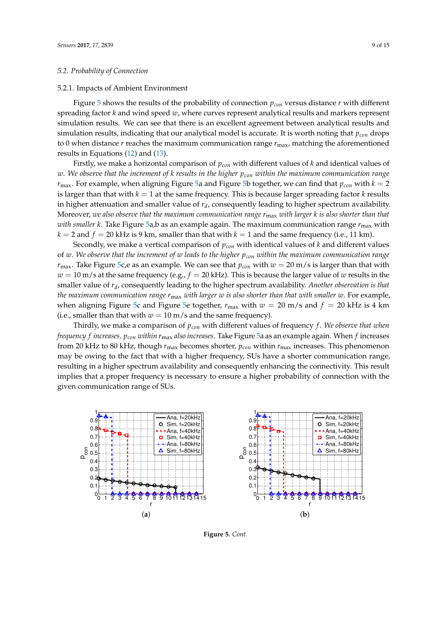# <span id="page-8-0"></span>*5.2. Probability of Connection*

# 5.2.1. Impacts of Ambient Environment

Figure [5](#page-9-0) shows the results of the probability of connection  $p_{\text{con}}$  versus distance  $r$  with different spreading factor *k* and wind speed *w*, where curves represent analytical results and markers represent simulation results. We can see that there is an excellent agreement between analytical results and simulation results, indicating that our analytical model is accurate. It is worth noting that *pcon* drops to 0 when distance *r* reaches the maximum communication range *r*max, matching the aforementioned results in Equations [\(12\)](#page-6-5) and [\(13\)](#page-6-6).

Firstly, we make a horizontal comparison of *pcon* with different values of *k* and identical values of *w*. *We observe that the increment of k results in the higher pcon within the maximum communication range*  $r_{\text{max}}$ . For example, when aligning Figure [5a](#page-9-0) and Figure [5b](#page-9-0) together, we can find that  $p_{con}$  with  $k = 2$ is larger than that with  $k = 1$  at the same frequency. This is because larger spreading factor  $k$  results in higher attenuation and smaller value of *r<sup>d</sup>* , consequently leading to higher spectrum availability. Moreover, *we also observe that the maximum communication range r*max *with larger k is also shorter than that with smaller k*. Take Figure [5a](#page-9-0),b as an example again. The maximum communication range *r*max with  $k = 2$  and  $f = 20$  kHz is 9 km, smaller than that with  $k = 1$  and the same frequency (i.e., 11 km).

Secondly, we make a vertical comparison of *pcon* with identical values of *k* and different values of *w*. *We observe that the increment of w leads to the higher pcon within the maximum communication range*  $r_{\text{max}}$ . Take Figure [5c](#page-9-0), e as an example. We can see that  $p_{con}$  with  $w = 20$  m/s is larger than that with  $w = 10$  m/s at the same frequency (e.g.,  $f = 20$  kHz). This is because the larger value of *w* results in the smaller value of *r<sup>d</sup>* , consequently leading to the higher spectrum availability. *Another observation is that the maximum communication range r*max *with larger w is also shorter than that with smaller w*. For example, when aligning Figure [5c](#page-9-0) and Figure [5e](#page-9-0) together,  $r_{\text{max}}$  with  $w = 20$  m/s and  $f = 20$  kHz is 4 km (i.e., smaller than that with  $w = 10$  m/s and the same frequency).

Thirdly, we make a comparison of *pcon* with different values of frequency *f* . *We observe that when frequency f increases, pcon within r*max *also increases*. Take Figure [5a](#page-9-0) as an example again. When *f* increases from 20 kHz to 80 kHz, though *r*max becomes shorter, *pcon* within *r*max increases. This phenomenon may be owing to the fact that with a higher frequency, SUs have a shorter communication range, resulting in a higher spectrum availability and consequently enhancing the connectivity. This result implies that a proper frequency is necessary to ensure a higher probability of connection with the given communication range of SUs.



**Figure 5.** *Cont.*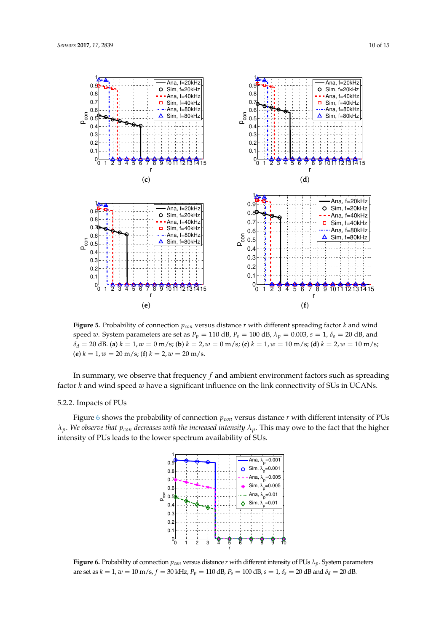<span id="page-9-0"></span>

**Figure 5.** Probability of connection  $p_{con}$  versus distance  $r$  with different spreading factor  $k$  and wind speed *w*. System parameters are set as  $P_p = 110$  dB,  $P_s = 100$  dB,  $\lambda_p = 0.003$ ,  $s = 1$ ,  $\delta_s = 20$  dB, and *δ<sup>d</sup>* = 20 dB. (**a**) *k* = 1, *w* = 0 m/s; (**b**) *k* = 2, *w* = 0 m/s; (**c**) *k* = 1, *w* = 10 m/s; (**d**) *k* = 2, *w* = 10 m/s; (**e**)  $k = 1$ ,  $w = 20$  m/s; (**f**)  $k = 2$ ,  $w = 20$  m/s.

In summary, we observe that frequency *f* and ambient environment factors such as spreading factor *k* and wind speed *w* have a significant influence on the link connectivity of SUs in UCANs.

# 5.2.2. Impacts of PUs

<span id="page-9-1"></span>Figure [6](#page-9-1) shows the probability of connection  $p_{con}$  versus distance  $r$  with different intensity of PUs *λ*<sub>*p*</sub>. We observe that  $p_{con}$  decreases with the increased intensity  $λ_p$ . This may owe to the fact that the higher intensity of PUs leads to the lower spectrum availability of SUs.



**Figure 6.** Probability of connection  $p_{con}$  versus distance  $r$  with different intensity of PUs  $\lambda_p$ . System parameters are set as  $k = 1$ ,  $w = 10$  m/s,  $f = 30$  kHz,  $P_p = 110$  dB,  $P_s = 100$  dB,  $s = 1$ ,  $\delta_s = 20$  dB and  $\delta_d = 20$  dB.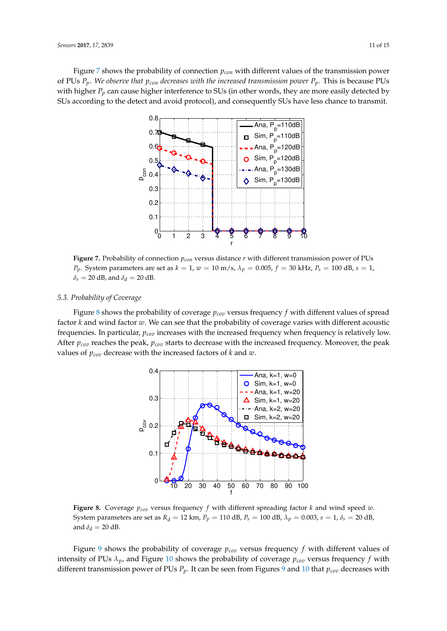<span id="page-10-1"></span>Figure [7](#page-10-1) shows the probability of connection *pcon* with different values of the transmission power of PUs *Pp*. *We observe that pcon decreases with the increased transmission power Pp.* This is because PUs with higher *P<sup>p</sup>* can cause higher interference to SUs (in other words, they are more easily detected by SUs according to the detect and avoid protocol), and consequently SUs have less chance to transmit.



**Figure 7.** Probability of connection  $p_{con}$  versus distance  $r$  with different transmission power of PUs *P*<sup>*p*</sup>. System parameters are set as  $k = 1$ ,  $w = 10$  m/s,  $λ$ <sup>*p*</sup> = 0.005,  $f = 30$  kHz,  $P_s = 100$  dB,  $s = 1$ ,  $\delta$ <sub>*s*</sub> = 20 dB, and  $\delta$ *d* = 20 dB.

#### <span id="page-10-0"></span>*5.3. Probability of Coverage*

<span id="page-10-2"></span>Figure [8](#page-10-2) shows the probability of coverage *pcov* versus frequency *f* with different values of spread factor *k* and wind factor *w*. We can see that the probability of coverage varies with different acoustic frequencies. In particular, *pcov* increases with the increased frequency when frequency is relatively low. After  $p_{cov}$  reaches the peak,  $p_{cov}$  starts to decrease with the increased frequency. Moreover, the peak values of *pcov* decrease with the increased factors of *k* and *w*.



**Figure 8.** Coverage *pcov* versus frequency *f* with different spreading factor *k* and wind speed *w*. System parameters are set as  $R_d = 12$  km,  $P_p = 110$  dB,  $P_s = 100$  dB,  $\lambda_p = 0.003$ ,  $s = 1$ ,  $\delta_s = 20$  dB, and  $\delta_d = 20$  dB.

Figure [9](#page-11-1) shows the probability of coverage *pcov* versus frequency *f* with different values of intensity of PUs *λp*, and Figure [10](#page-11-2) shows the probability of coverage *pcov* versus frequency *f* with different transmission power of PUs  $P_p$ . It can be seen from Figures [9](#page-11-1) and [10](#page-11-2) that  $p_{cov}$  decreases with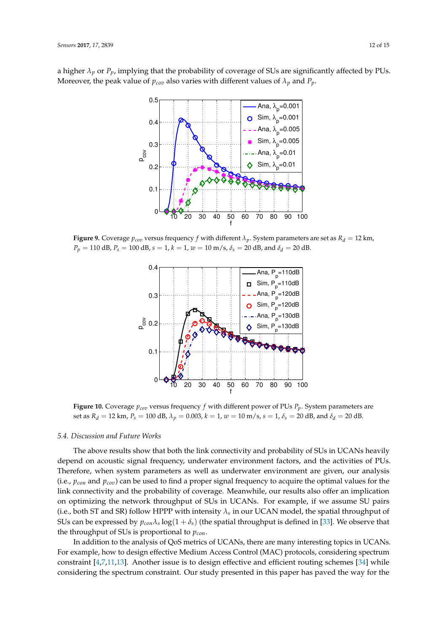<span id="page-11-1"></span>a higher  $\lambda_p$  or  $P_p$ , implying that the probability of coverage of SUs are significantly affected by PUs. Moreover, the peak value of  $p_{cov}$  also varies with different values of  $\lambda_p$  and  $P_p$ .



<span id="page-11-2"></span>**Figure 9.** Coverage  $p_{cov}$  versus frequency f with different  $\lambda_p$ . System parameters are set as  $R_d = 12$  km,  $P_p = 110$  dB,  $P_s = 100$  dB,  $s = 1$ ,  $k = 1$ ,  $w = 10$  m/s,  $\delta_s = 20$  dB, and  $\delta_d = 20$  dB.



**Figure 10.** Coverage  $p_{cov}$  versus frequency  $f$  with different power of PUs  $P_p$ . System parameters are set as  $R_d = 12$  km,  $P_s = 100$  dB,  $\lambda_p = 0.003$ ,  $k = 1$ ,  $w = 10$  m/s,  $s = 1$ ,  $\delta_s = 20$  dB, and  $\delta_d = 20$  dB.

#### <span id="page-11-0"></span>*5.4. Discussion and Future Works*

The above results show that both the link connectivity and probability of SUs in UCANs heavily depend on acoustic signal frequency, underwater environment factors, and the activities of PUs. Therefore, when system parameters as well as underwater environment are given, our analysis (i.e., *pcon* and *pcov*) can be used to find a proper signal frequency to acquire the optimal values for the link connectivity and the probability of coverage. Meanwhile, our results also offer an implication on optimizing the network throughput of SUs in UCANs. For example, if we assume SU pairs (i.e., both ST and SR) follow HPPP with intensity  $\lambda_s$  in our UCAN model, the spatial throughput of SUs can be expressed by  $p_{con} \lambda_s \log(1+\delta_s)$  (the spatial throughput is defined in [\[33\]](#page-14-12). We observe that the throughput of SUs is proportional to *pcon*.

In addition to the analysis of QoS metrics of UCANs, there are many interesting topics in UCANs. For example, how to design effective Medium Access Control (MAC) protocols, considering spectrum constraint [\[4](#page-13-2)[,7](#page-13-5)[,11](#page-13-11)[,13\]](#page-13-7). Another issue is to design effective and efficient routing schemes [\[34\]](#page-14-13) while considering the spectrum constraint. Our study presented in this paper has paved the way for the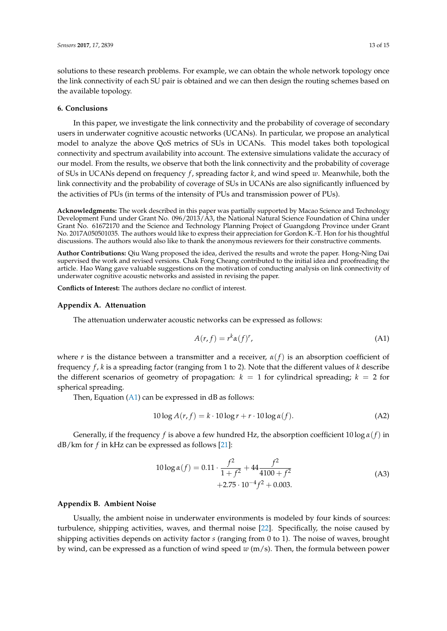solutions to these research problems. For example, we can obtain the whole network topology once the link connectivity of each SU pair is obtained and we can then design the routing schemes based on the available topology.

#### <span id="page-12-0"></span>**6. Conclusions**

In this paper, we investigate the link connectivity and the probability of coverage of secondary users in underwater cognitive acoustic networks (UCANs). In particular, we propose an analytical model to analyze the above QoS metrics of SUs in UCANs. This model takes both topological connectivity and spectrum availability into account. The extensive simulations validate the accuracy of our model. From the results, we observe that both the link connectivity and the probability of coverage of SUs in UCANs depend on frequency *f* , spreading factor *k*, and wind speed *w*. Meanwhile, both the link connectivity and the probability of coverage of SUs in UCANs are also significantly influenced by the activities of PUs (in terms of the intensity of PUs and transmission power of PUs).

**Acknowledgments:** The work described in this paper was partially supported by Macao Science and Technology Development Fund under Grant No. 096/2013/A3, the National Natural Science Foundation of China under Grant No. 61672170 and the Science and Technology Planning Project of Guangdong Province under Grant No. 2017A050501035. The authors would like to express their appreciation for Gordon K.-T. Hon for his thoughtful discussions. The authors would also like to thank the anonymous reviewers for their constructive comments.

**Author Contributions:** Qiu Wang proposed the idea, derived the results and wrote the paper. Hong-Ning Dai supervised the work and revised versions. Chak Fong Cheang contributed to the initial idea and proofreading the article. Hao Wang gave valuable suggestions on the motivation of conducting analysis on link connectivity of underwater cognitive acoustic networks and assisted in revising the paper.

**Conflicts of Interest:** The authors declare no conflict of interest.

#### <span id="page-12-1"></span>**Appendix A. Attenuation**

The attenuation underwater acoustic networks can be expressed as follows:

<span id="page-12-4"></span>
$$
A(r, f) = r^k \alpha(f)^r,
$$
 (A1)

where *r* is the distance between a transmitter and a receiver,  $\alpha(f)$  is an absorption coefficient of frequency *f* , *k* is a spreading factor (ranging from 1 to 2). Note that the different values of *k* describe the different scenarios of geometry of propagation:  $k = 1$  for cylindrical spreading;  $k = 2$  for spherical spreading.

Then, Equation  $(A1)$  can be expressed in dB as follows:

<span id="page-12-3"></span>
$$
10\log A(r, f) = k \cdot 10\log r + r \cdot 10\log \alpha(f). \tag{A2}
$$

Generally, if the frequency *f* is above a few hundred Hz, the absorption coefficient 10 log *α*(*f*) in dB/km for *f* in kHz can be expressed as follows [\[21\]](#page-14-5):

$$
10\log\alpha(f) = 0.11 \cdot \frac{f^2}{1+f^2} + 44\frac{f^2}{4100+f^2} + 2.75 \cdot 10^{-4}f^2 + 0.003.
$$
 (A3)

# <span id="page-12-2"></span>**Appendix B. Ambient Noise**

Usually, the ambient noise in underwater environments is modeled by four kinds of sources: turbulence, shipping activities, waves, and thermal noise [\[22\]](#page-14-6). Specifically, the noise caused by shipping activities depends on activity factor *s* (ranging from 0 to 1). The noise of waves, brought by wind, can be expressed as a function of wind speed *w* (m/s). Then, the formula between power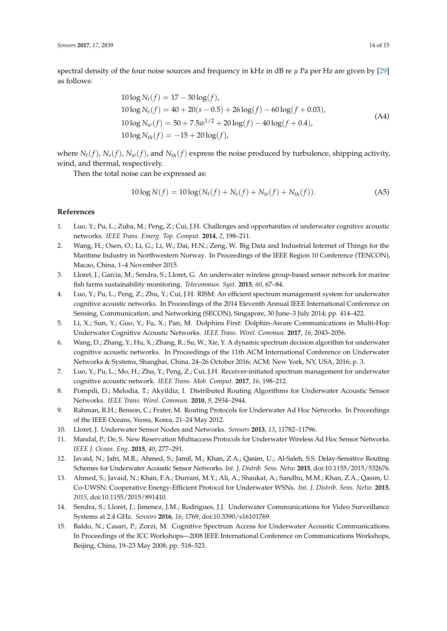spectral density of the four noise sources and frequency in kHz in dB re  $\mu$  Pa per Hz are given by [\[29\]](#page-14-8) as follows:

$$
10\log N_t(f) = 17 - 30\log(f),
$$
  
\n
$$
10\log N_s(f) = 40 + 20(s - 0.5) + 26\log(f) - 60\log(f + 0.03),
$$
  
\n
$$
10\log N_w(f) = 50 + 7.5w^{1/2} + 20\log(f) - 40\log(f + 0.4),
$$
  
\n
$$
10\log N_{th}(f) = -15 + 20\log(f),
$$
\n(A4)

where  $N_t(f)$ ,  $N_s(f)$ ,  $N_w(f)$ , and  $N_{th}(f)$  express the noise produced by turbulence, shipping activity, wind, and thermal, respectively.

Then the total noise can be expressed as:

<span id="page-13-10"></span>
$$
10\log N(f) = 10\log(N_t(f) + N_s(f) + N_w(f) + N_{th}(f)).
$$
\n(A5)

# **References**

- <span id="page-13-0"></span>1. Luo, Y.; Pu, L.; Zuba, M.; Peng, Z.; Cui, J.H. Challenges and opportunities of underwater cognitive acoustic networks. *IEEE Trans. Emerg. Top. Comput.* **2014**, *2*, 198–211.
- 2. Wang, H.; Osen, O.; Li, G.; Li, W.; Dai, H.N.; Zeng, W. Big Data and Industrial Internet of Things for the Maritime Industry in Northwestern Norway. In Proceedings of the IEEE Region 10 Conference (TENCON), Macao, China, 1–4 November 2015.
- <span id="page-13-1"></span>3. Lloret, J.; Garcia, M.; Sendra, S.; Lloret, G. An underwater wireless group-based sensor network for marine fish farms sustainability monitoring. *Telecommun. Syst.* **2015**, *60*, 67–84.
- <span id="page-13-2"></span>4. Luo, Y.; Pu, L.; Peng, Z.; Zhu, Y.; Cui, J.H. RISM: An efficient spectrum management system for underwater cognitive acoustic networks. In Proceedings of the 2014 Eleventh Annual IEEE International Conference on Sensing, Communication, and Networking (SECON), Singapore, 30 June–3 July 2014; pp. 414–422.
- <span id="page-13-3"></span>5. Li, X.; Sun, Y.; Guo, Y.; Fu, X.; Pan, M. Dolphins First: Dolphin-Aware Communications in Multi-Hop Underwater Cognitive Acoustic Networks. *IEEE Trans. Wirel. Commun.* **2017**, *16*, 2043–2056.
- <span id="page-13-4"></span>6. Wang, D.; Zhang, Y.; Hu, X.; Zhang, R.; Su, W.; Xie, Y. A dynamic spectrum decision algorithm for underwater cognitive acoustic networks. In Proceedings of the 11th ACM International Conference on Underwater Networks & Systems, Shanghai, China, 24–26 October 2016; ACM: New York, NY, USA, 2016; p. 3.
- <span id="page-13-5"></span>7. Luo, Y.; Pu, L.; Mo, H.; Zhu, Y.; Peng, Z.; Cui, J.H. Receiver-initiated spectrum management for underwater cognitive acoustic network. *IEEE Trans. Mob. Comput.* **2017**, *16*, 198–212.
- <span id="page-13-6"></span>8. Pompili, D.; Melodia, T.; Akyildiz, I. Distributed Routing Algorithms for Underwater Acoustic Sensor Networks. *IEEE Trans. Wirel. Commun.* **2010**, *9*, 2934–2944.
- 9. Rahman, R.H.; Benson, C.; Frater, M. Routing Protocols for Underwater Ad Hoc Networks. In Proceedings of the IEEE Oceans, Yeosu, Korea, 21–24 May 2012.
- 10. Lloret, J. Underwater Sensor Nodes and Networks. *Sensors* **2013**, *13*, 11782–11796.
- <span id="page-13-11"></span>11. Mandal, P.; De, S. New Reservation Multiaccess Protocols for Underwater Wireless Ad Hoc Sensor Networks. *IEEE J. Ocean. Eng.* **2015**, *40*, 277–291.
- 12. Javaid, N.; Jafri, M.R.; Ahmed, S.; Jamil, M.; Khan, Z.A.; Qasim, U.; Al-Saleh, S.S. Delay-Sensitive Routing Schemes for Underwater Acoustic Sensor Networks. *Int. J. Distrib. Sens. Netw.* **2015**, doi:10.1155/2015/532676.
- <span id="page-13-7"></span>13. Ahmed, S.; Javaid, N.; Khan, F.A.; Durrani, M.Y.; Ali, A.; Shaukat, A.; Sandhu, M.M.; Khan, Z.A.; Qasim, U. Co-UWSN: Cooperative Energy-Efficient Protocol for Underwater WSNs. *Int. J. Distrib. Sens. Netw.* **2015**, *2015*, doi:10.1155/2015/891410.
- <span id="page-13-8"></span>14. Sendra, S.; Lloret, J.; Jimenez, J.M.; Rodrigues, J.J. Underwater Communications for Video Surveillance Systems at 2.4 GHz. *Sensors* **2016**, *16*, 1769, doi:10.3390/s16101769.
- <span id="page-13-9"></span>15. Baldo, N.; Casari, P.; Zorzi, M. Cognitive Spectrum Access for Underwater Acoustic Communications. In Proceedings of the ICC Workshops—2008 IEEE International Conference on Communications Workshops, Beijing, China, 19–23 May 2008; pp. 518–523.